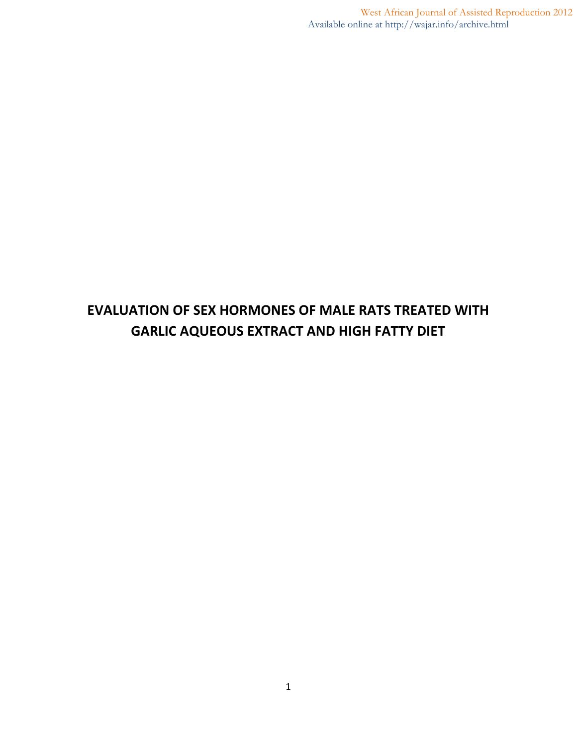West African Journal of Assisted Reproduction 2012 Available online at http://wajar.info/archive.html

# **EVALUATION OF SEX HORMONES OF MALE RATS TREATED WITH GARLIC AQUEOUS EXTRACT AND HIGH FATTY DIET**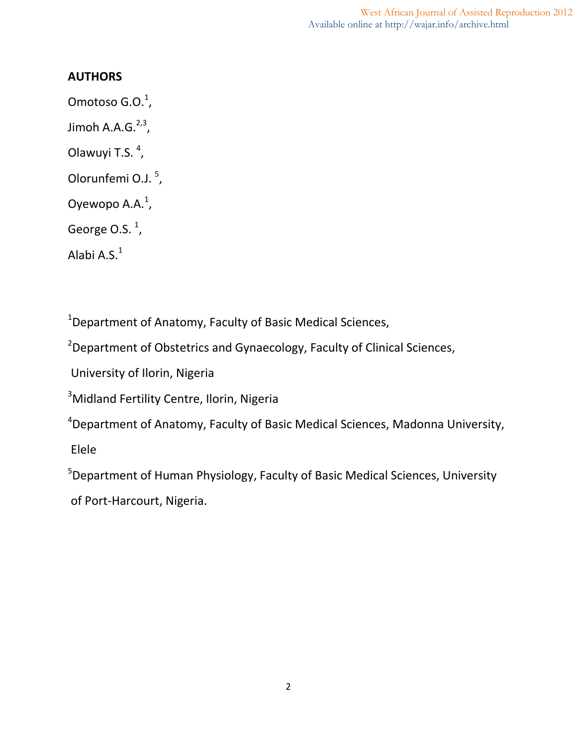West African Journal of Assisted Reproduction 2012 Available online at http://wajar.info/archive.html

#### **AUTHORS**

Omotoso G.O. $^1$ , Jimoh A.A.G. $^{2,3}$ , Olawuyi T.S.<sup>4</sup>, Olorunfemi O.J.<sup>5</sup>, Oyewopo A.A. $^1$ , George O.S. $^1$ , Alabi A.S. $^{\rm 1}$ 

<sup>1</sup>Department of Anatomy, Faculty of Basic Medical Sciences,

<sup>2</sup>Department of Obstetrics and Gynaecology, Faculty of Clinical Sciences,

University of Ilorin, Nigeria

<sup>3</sup>Midland Fertility Centre, Ilorin, Nigeria

<sup>4</sup>Department of Anatomy, Faculty of Basic Medical Sciences, Madonna University,

Elele

<sup>5</sup>Department of Human Physiology, Faculty of Basic Medical Sciences, University

of Port-Harcourt, Nigeria.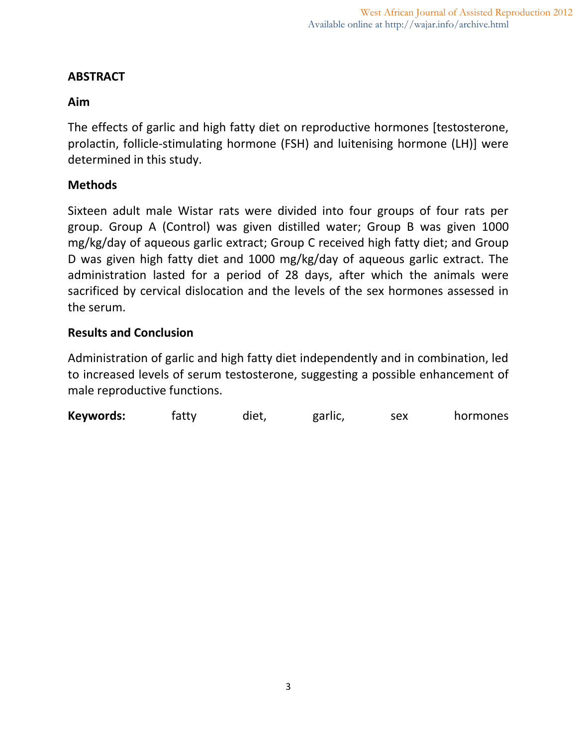# **ABSTRACT**

# **Aim**

The effects of garlic and high fatty diet on reproductive hormones [testosterone, prolactin, follicle-stimulating hormone (FSH) and luitenising hormone (LH)] were determined in this study.

# **Methods**

Sixteen adult male Wistar rats were divided into four groups of four rats per group. Group A (Control) was given distilled water; Group B was given 1000 mg/kg/day of aqueous garlic extract; Group C received high fatty diet; and Group D was given high fatty diet and 1000 mg/kg/day of aqueous garlic extract. The administration lasted for a period of 28 days, after which the animals were sacrificed by cervical dislocation and the levels of the sex hormones assessed in the serum.

## **Results and Conclusion**

Administration of garlic and high fatty diet independently and in combination, led to increased levels of serum testosterone, suggesting a possible enhancement of male reproductive functions.

**Keywords:** fatty diet, garlic, sex hormones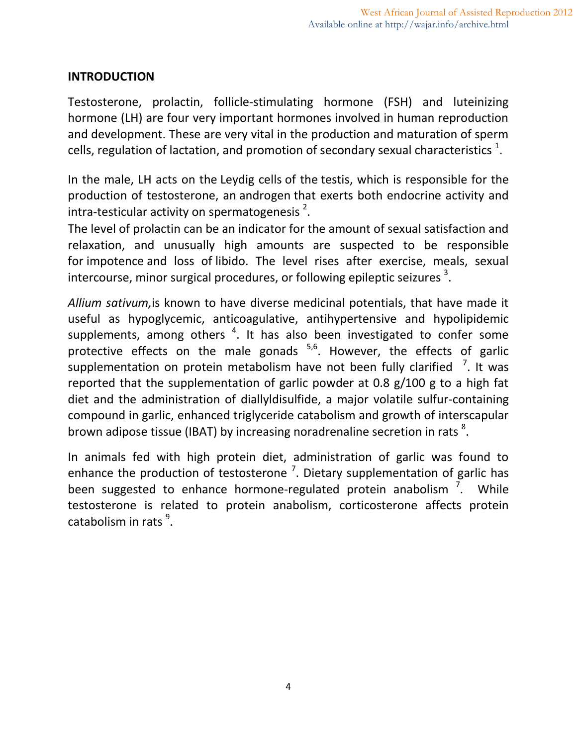## **INTRODUCTION**

Testosterone, prolactin, follicle-stimulating hormone (FSH) and luteinizing hormone (LH) are four very important hormones involved in human reproduction and development. These are very vital in the production and maturation of sperm cells, regulation of lactation, and promotion of secondary sexual characteristics  $^{1}$ .

In the male, LH acts on the Leydig cells of the testis, which is responsible for the production of testosterone, an androgen that exerts both endocrine activity and intra-testicular activity on spermatogenesis<sup>2</sup>.

The level of prolactin can be an indicator for the amount of sexual satisfaction and relaxation, and unusually high amounts are suspected to be responsible for impotence and loss of libido. The level rises after exercise, meals, sexual intercourse, minor surgical procedures, or following epileptic seizures  $^3$ .

*Allium sativum,*is known to have diverse medicinal potentials, that have made it useful as hypoglycemic, anticoagulative, antihypertensive and hypolipidemic supplements, among others  $4$ . It has also been investigated to confer some protective effects on the male gonads <sup>5,6</sup>. However, the effects of garlic supplementation on protein metabolism have not been fully clarified  $\frac{7}{1}$ . It was reported that the supplementation of garlic powder at 0.8 g/100 g to a high fat diet and the administration of diallyldisulfide, a major volatile sulfur-containing compound in garlic, enhanced triglyceride catabolism and growth of interscapular brown adipose tissue (IBAT) by increasing noradrenaline secretion in rats  $^8$ .

In animals fed with high protein diet, administration of garlic was found to enhance the production of testosterone  $\frac{7}{1}$ . Dietary supplementation of garlic has been suggested to enhance hormone-regulated protein anabolism <sup>7</sup>. While testosterone is related to protein anabolism, corticosterone affects protein catabolism in rats  $9$ .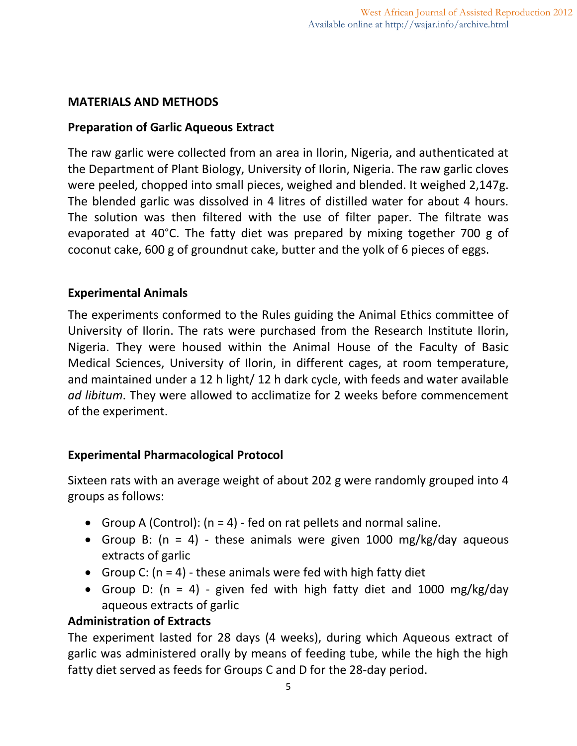## **MATERIALS AND METHODS**

## **Preparation of Garlic Aqueous Extract**

The raw garlic were collected from an area in Ilorin, Nigeria, and authenticated at the Department of Plant Biology, University of Ilorin, Nigeria. The raw garlic cloves were peeled, chopped into small pieces, weighed and blended. It weighed 2,147g. The blended garlic was dissolved in 4 litres of distilled water for about 4 hours. The solution was then filtered with the use of filter paper. The filtrate was evaporated at 40°C. The fatty diet was prepared by mixing together 700 g of coconut cake, 600 g of groundnut cake, butter and the yolk of 6 pieces of eggs.

## **Experimental Animals**

The experiments conformed to the Rules guiding the Animal Ethics committee of University of Ilorin. The rats were purchased from the Research Institute Ilorin, Nigeria. They were housed within the Animal House of the Faculty of Basic Medical Sciences, University of Ilorin, in different cages, at room temperature, and maintained under a 12 h light/ 12 h dark cycle, with feeds and water available *ad libitum*. They were allowed to acclimatize for 2 weeks before commencement of the experiment.

# **Experimental Pharmacological Protocol**

Sixteen rats with an average weight of about 202 g were randomly grouped into 4 groups as follows:

- Group A (Control):  $(n = 4)$  fed on rat pellets and normal saline.
- Group B:  $(n = 4)$  these animals were given 1000 mg/kg/day aqueous extracts of garlic
- Group C:  $(n = 4)$  these animals were fed with high fatty diet
- Group D:  $(n = 4)$  given fed with high fatty diet and 1000 mg/kg/day aqueous extracts of garlic

#### **Administration of Extracts**

The experiment lasted for 28 days (4 weeks), during which Aqueous extract of garlic was administered orally by means of feeding tube, while the high the high fatty diet served as feeds for Groups C and D for the 28-day period.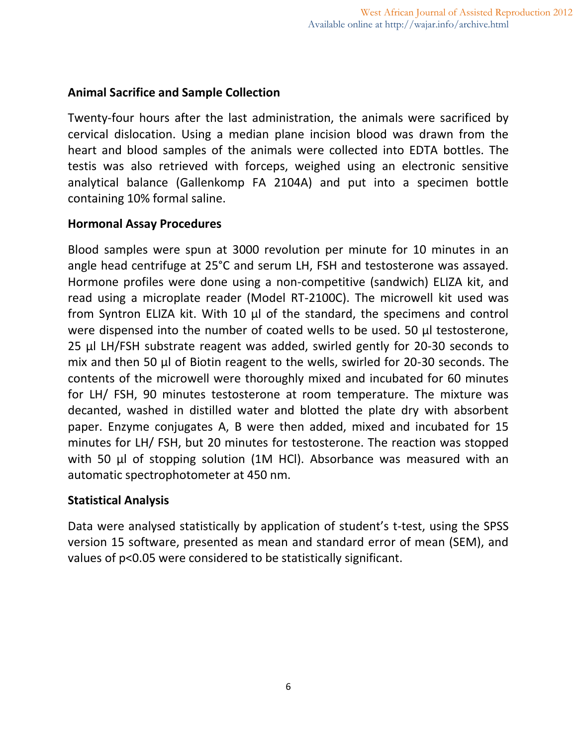## **Animal Sacrifice and Sample Collection**

Twenty-four hours after the last administration, the animals were sacrificed by cervical dislocation. Using a median plane incision blood was drawn from the heart and blood samples of the animals were collected into EDTA bottles. The testis was also retrieved with forceps, weighed using an electronic sensitive analytical balance (Gallenkomp FA 2104A) and put into a specimen bottle containing 10% formal saline.

#### **Hormonal Assay Procedures**

Blood samples were spun at 3000 revolution per minute for 10 minutes in an angle head centrifuge at 25°C and serum LH, FSH and testosterone was assayed. Hormone profiles were done using a non-competitive (sandwich) ELIZA kit, and read using a microplate reader (Model RT-2100C). The microwell kit used was from Syntron ELIZA kit. With 10 µl of the standard, the specimens and control were dispensed into the number of coated wells to be used. 50 µl testosterone, 25 µl LH/FSH substrate reagent was added, swirled gently for 20-30 seconds to mix and then 50 µl of Biotin reagent to the wells, swirled for 20-30 seconds. The contents of the microwell were thoroughly mixed and incubated for 60 minutes for LH/ FSH, 90 minutes testosterone at room temperature. The mixture was decanted, washed in distilled water and blotted the plate dry with absorbent paper. Enzyme conjugates A, B were then added, mixed and incubated for 15 minutes for LH/ FSH, but 20 minutes for testosterone. The reaction was stopped with 50 µl of stopping solution (1M HCl). Absorbance was measured with an automatic spectrophotometer at 450 nm.

#### **Statistical Analysis**

Data were analysed statistically by application of student's t-test, using the SPSS version 15 software, presented as mean and standard error of mean (SEM), and values of p<0.05 were considered to be statistically significant.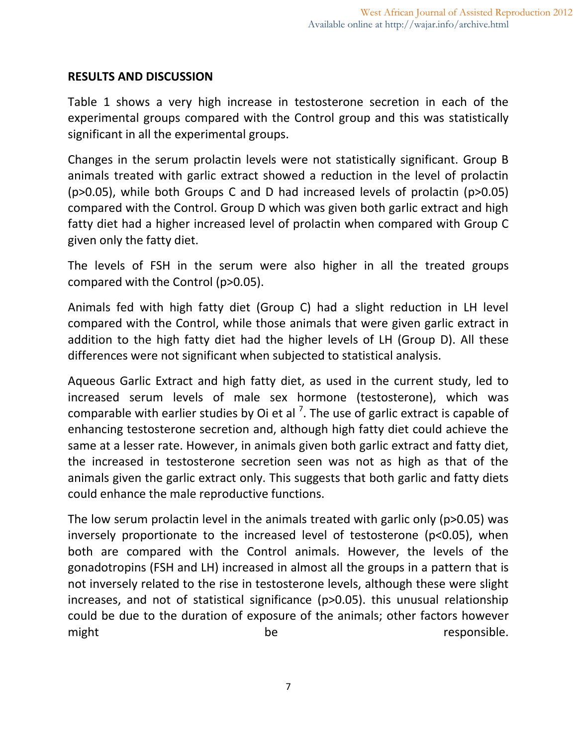#### **RESULTS AND DISCUSSION**

Table 1 shows a very high increase in testosterone secretion in each of the experimental groups compared with the Control group and this was statistically significant in all the experimental groups.

Changes in the serum prolactin levels were not statistically significant. Group B animals treated with garlic extract showed a reduction in the level of prolactin (p˃0.05), while both Groups C and D had increased levels of prolactin (p˃0.05) compared with the Control. Group D which was given both garlic extract and high fatty diet had a higher increased level of prolactin when compared with Group C given only the fatty diet.

The levels of FSH in the serum were also higher in all the treated groups compared with the Control (p>0.05).

Animals fed with high fatty diet (Group C) had a slight reduction in LH level compared with the Control, while those animals that were given garlic extract in addition to the high fatty diet had the higher levels of LH (Group D). All these differences were not significant when subjected to statistical analysis.

Aqueous Garlic Extract and high fatty diet, as used in the current study, led to increased serum levels of male sex hormone (testosterone), which was comparable with earlier studies by Oi et al  $^7$ . The use of garlic extract is capable of enhancing testosterone secretion and, although high fatty diet could achieve the same at a lesser rate. However, in animals given both garlic extract and fatty diet, the increased in testosterone secretion seen was not as high as that of the animals given the garlic extract only. This suggests that both garlic and fatty diets could enhance the male reproductive functions.

The low serum prolactin level in the animals treated with garlic only (p>0.05) was inversely proportionate to the increased level of testosterone (p˂0.05), when both are compared with the Control animals. However, the levels of the gonadotropins (FSH and LH) increased in almost all the groups in a pattern that is not inversely related to the rise in testosterone levels, although these were slight increases, and not of statistical significance (p>0.05). this unusual relationship could be due to the duration of exposure of the animals; other factors however might be responsible.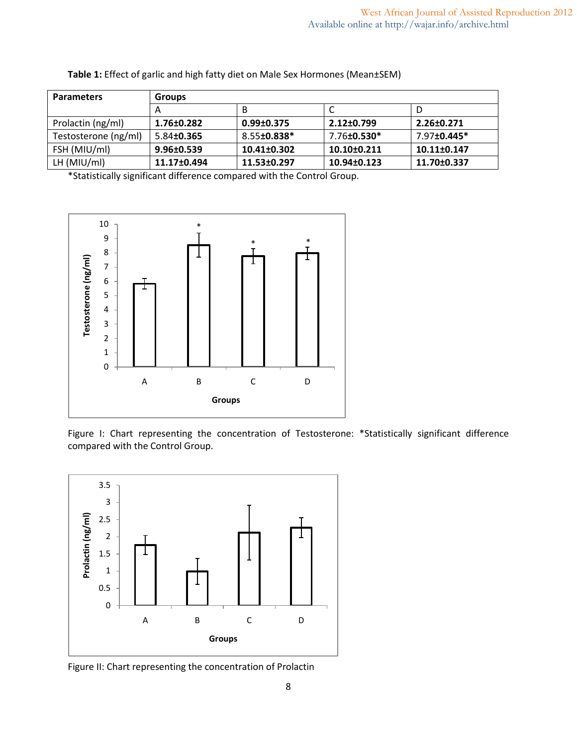| <b>Parameters</b>    | <b>Groups</b>      |                               |             |                   |
|----------------------|--------------------|-------------------------------|-------------|-------------------|
|                      | A                  | B                             |             | D.                |
| Prolactin (ng/ml)    | 1.76±0.282         | $0.99 \pm 0.375$              | 2.12±0.799  | 2.26±0.271        |
| Testosterone (ng/ml) | 5.84 <b>±0.365</b> | $8.55 \pm 0.838$ <sup>*</sup> | 7.76±0.530* | 7.97±0.445*       |
| FSH (MIU/ml)         | $9.96 \pm 0.539$   | $10.41 \pm 0.302$             | 10.10±0.211 | $10.11 \pm 0.147$ |
| LH $(MIU/ml)$        | 11.17±0.494        | 11.53±0.297                   | 10.94±0.123 | 11.70±0.337       |

**Table 1:** Effect of garlic and high fatty diet on Male Sex Hormones (Mean±SEM)

\*Statistically significant difference compared with the Control Group.



Figure I: Chart representing the concentration of Testosterone: \*Statistically significant difference compared with the Control Group.



Figure II: Chart representing the concentration of Prolactin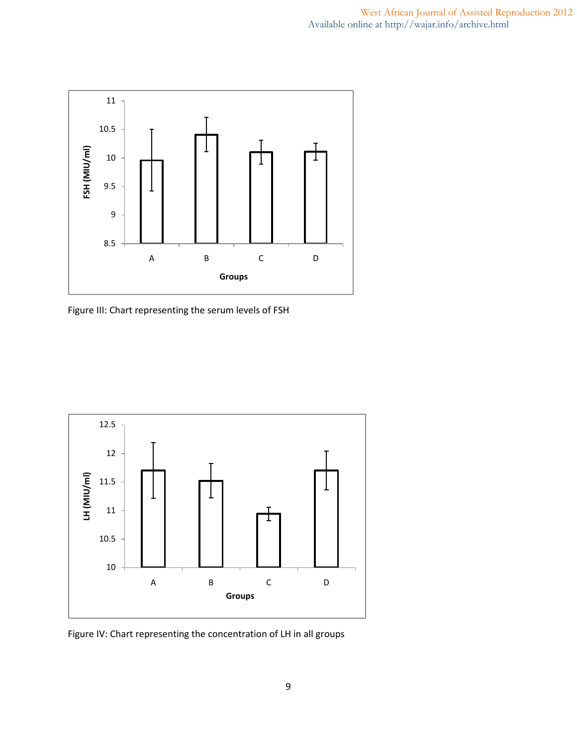

Figure III: Chart representing the serum levels of FSH



Figure IV: Chart representing the concentration of LH in all groups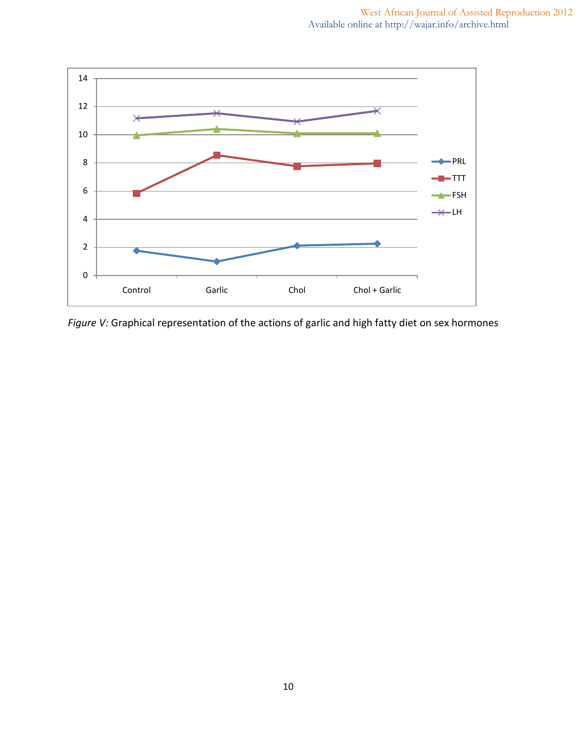

*Figure V:* Graphical representation of the actions of garlic and high fatty diet on sex hormones